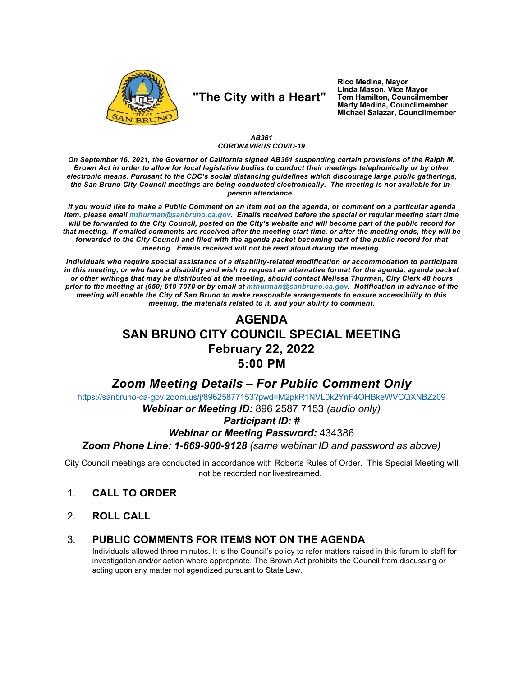

# "The City with a Heart"

Rico Medina, Mayor Linda Mason, Vice Mayor Tom Hamilton, Councilmember Marty Medina, Councilmember Michael Salazar, Councilmember

#### AB361 **CORONAVIRUS COVID-19**

On September 16, 2021, the Governor of California signed AB361 suspending certain provisions of the Ralph M. Brown Act in order to allow for local legislative bodies to conduct their meetings telephonically or by other electronic means. Purusant to the CDC's social distancing guidelines which discourage large public gatherings. the San Bruno City Council meetings are being conducted electronically. The meeting is not available for inperson attendance.

If you would like to make a Public Comment on an item not on the agenda, or comment on a particular agenda item, please email *mthurman@sanbruno.ca.gov.* Emails received before the special or regular meeting start time will be forwarded to the City Council, posted on the City's website and will become part of the public record for that meeting. If emailed comments are received after the meeting start time, or after the meeting ends, they will be forwarded to the City Council and filed with the agenda packet becoming part of the public record for that meeting. Emails received will not be read aloud during the meeting.

Individuals who require special assistance of a disability-related modification or accommodation to participate in this meeting, or who have a disability and wish to request an alternative format for the agenda, agenda packet or other writings that may be distributed at the meeting, should contact Melissa Thurman, City Clerk 48 hours prior to the meeting at (650) 619-7070 or by email at mthurman@sanbruno.ca.gov. Notification in advance of the meeting will enable the City of San Bruno to make reasonable arrangements to ensure accessibility to this meeting, the materials related to it, and your ability to comment.

## **AGENDA SAN BRUNO CITY COUNCIL SPECIAL MEETING February 22, 2022**  $5:00$  PM

## **Zoom Meeting Details - For Public Comment Only**

https://sanbruno-ca-gov.zoom.us/j/89625877153?pwd=M2pkR1NVL0k2YnF4OHBkeWVCQXNBZz09

Webinar or Meeting ID: 896 2587 7153 (audio only)

### **Participant ID: #**

### **Webinar or Meeting Password: 434386**

Zoom Phone Line: 1-669-900-9128 (same webinar ID and password as above)

City Council meetings are conducted in accordance with Roberts Rules of Order. This Special Meeting will not be recorded nor livestreamed.

- $1<sub>1</sub>$ **CALL TO ORDER**
- $2<sub>1</sub>$ **ROLL CALL**

#### PUBLIC COMMENTS FOR ITEMS NOT ON THE AGENDA 3.

Individuals allowed three minutes. It is the Council's policy to refer matters raised in this forum to staff for investigation and/or action where appropriate. The Brown Act prohibits the Council from discussing or acting upon any matter not agendized pursuant to State Law.